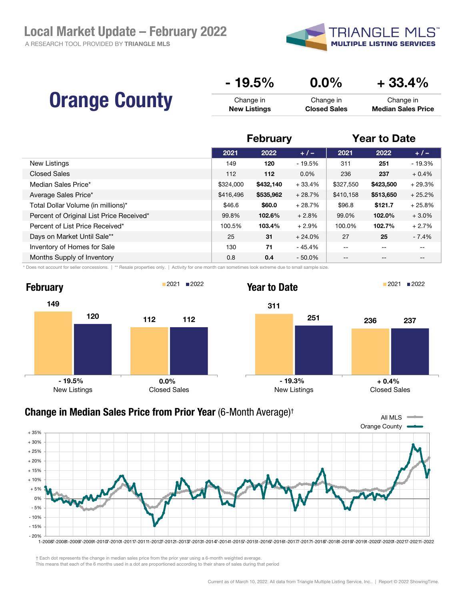A RESEARCH TOOL PROVIDED BY TRIANGLE MLS



|                      | $-19.5%$            | $0.0\%$             | $+33.4%$                  |
|----------------------|---------------------|---------------------|---------------------------|
| <b>Orange County</b> | Change in           | Change in           | Change in                 |
|                      | <b>New Listings</b> | <b>Closed Sales</b> | <b>Median Sales Price</b> |

|                                          | <b>February</b> |           | <b>Year to Date</b> |           |           |          |
|------------------------------------------|-----------------|-----------|---------------------|-----------|-----------|----------|
|                                          | 2021            | 2022      | $+/-$               | 2021      | 2022      | $+/-$    |
| New Listings                             | 149             | 120       | $-19.5%$            | 311       | 251       | $-19.3%$ |
| <b>Closed Sales</b>                      | 112             | 112       | $0.0\%$             | 236       | 237       | $+0.4%$  |
| Median Sales Price*                      | \$324,000       | \$432,140 | $+33.4%$            | \$327,550 | \$423,500 | $+29.3%$ |
| Average Sales Price*                     | \$416,496       | \$535,962 | $+28.7%$            | \$410,158 | \$513,650 | $+25.2%$ |
| Total Dollar Volume (in millions)*       | \$46.6          | \$60.0    | $+28.7%$            | \$96.8    | \$121.7   | $+25.8%$ |
| Percent of Original List Price Received* | 99.8%           | 102.6%    | $+2.8%$             | 99.0%     | 102.0%    | $+3.0%$  |
| Percent of List Price Received*          | 100.5%          | 103.4%    | $+2.9%$             | 100.0%    | 102.7%    | $+2.7%$  |
| Days on Market Until Sale**              | 25              | 31        | $+24.0%$            | 27        | 25        | $-7.4%$  |
| Inventory of Homes for Sale              | 130             | 71        | $-45.4%$            | $- -$     | $- -$     | $- -$    |
| Months Supply of Inventory               | 0.8             | 0.4       | $-50.0%$            | $- -$     | $- -$     | $- -$    |

\* Does not account for seller concessions. | \*\* Resale properties only. | Activity for one month can sometimes look extreme due to small sample size.



## Orange County All MLS - 20% - 15%  $-10%$ - 5% 0% + 5% + 10% + 15% + 20% + 25% + 30% + 35% 1-20087-20081-20097-20091-20107-20101-20117-20111-20127-20121-20137-20131-20147-20141-20157-20151-20167-20161-20177-20171-20187-20181-20197-20191-20207-20201-20217-20211-2022 Change in Median Sales Price from Prior Year (6-Month Average)†

† Each dot represents the change in median sales price from the prior year using a 6-month weighted average.

This means that each of the 6 months used in a dot are proportioned according to their share of sales during that period